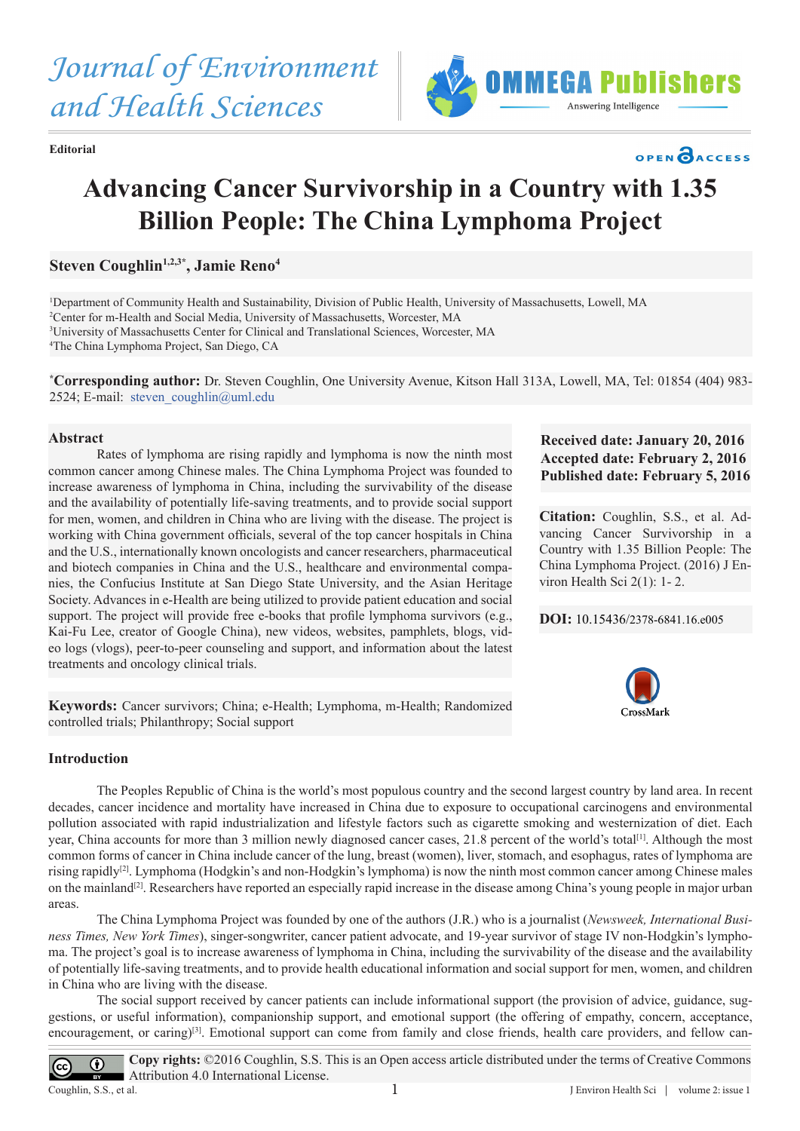*Journal of Environment and Health Sciences*



**Editorial**

# **Advancing Cancer Survivorship in a Country with 1.35 Billion People: The China Lymphoma Project**

# Steven Coughlin<sup>1,2,3\*</sup>, Jamie Reno<sup>4</sup>

 Department of Community Health and Sustainability, Division of Public Health, University of Massachusetts, Lowell, MA Center for m-Health and Social Media, University of Massachusetts, Worcester, MA University of Massachusetts Center for Clinical and Translational Sciences, Worcester, MA The China Lymphoma Project, San Diego, CA

**\* Corresponding author:** Dr. Steven Coughlin, One University Avenue, Kitson Hall 313A, Lowell, MA, Tel: 01854 (404) 983- 2524; E-mail: steven coughlin@uml.edu

### **Abstract**

Rates of lymphoma are rising rapidly and lymphoma is now the ninth most common cancer among Chinese males. The China Lymphoma Project was founded to increase awareness of lymphoma in China, including the survivability of the disease and the availability of potentially life-saving treatments, and to provide social support for men, women, and children in China who are living with the disease. The project is working with China government officials, several of the top cancer hospitals in China and the U.S., internationally known oncologists and cancer researchers, pharmaceutical and biotech companies in China and the U.S., healthcare and environmental companies, the Confucius Institute at San Diego State University, and the Asian Heritage Society. Advances in e-Health are being utilized to provide patient education and social support. The project will provide free e-books that profile lymphoma survivors (e.g., Kai-Fu Lee, creator of Google China), new videos, websites, pamphlets, blogs, video logs (vlogs), peer-to-peer counseling and support, and information about the latest treatments and oncology clinical trials.

**Keywords:** Cancer survivors; China; e-Health; Lymphoma, m-Health; Randomized controlled trials; Philanthropy; Social support

## **Introduction**

The Peoples Republic of China is the world's most populous country and the second largest country by land area. In recent decades, cancer incidence and mortality have increased in China due to exposure to occupational carcinogens and environmental pollution associated with rapid industrialization and lifestyle factors such as cigarette smoking and westernization of diet. Each year, China accounts for more than 3 million newly diagnosed cancer cases, 21.8 percent of the world's total<sup>[1]</sup>. Although the most common forms of cancer in China include cancer of the lung, breast (women), liver, stomach, and esophagus, rates of lymphoma are rising rapidly[2]. Lymphoma (Hodgkin's and non-Hodgkin's lymphoma) is now the ninth most common cancer among Chinese males on the mainland<sup>[2]</sup>. Researchers have reported an especially rapid increase in the disease among China's young people in major urban areas.

The China Lymphoma Project was founded by one of the authors (J.R.) who is a journalist (*Newsweek, International Business Times, New York Times*), singer-songwriter, cancer patient advocate, and 19-year survivor of stage IV non-Hodgkin's lymphoma. The project's goal is to increase awareness of lymphoma in China, including the survivability of the disease and the availability of potentially life-saving treatments, and to provide health educational information and social support for men, women, and children in China who are living with the disease.

The social support received by cancer patients can include informational support (the provision of advice, guidance, suggestions, or useful information), companionship support, and emotional support (the offering of empathy, concern, acceptance, encouragement, or caring)<sup>[3]</sup>. Emotional support can come from family and close friends, health care providers, and fellow can-

**Copy rights:** ©2016 Coughlin, S.S. This is an Open access article distributed under the terms of Creative Commons  $\bigcirc$  $\left(\mathrm{cc}\right)$ Attribution 4.0 International License. Coughlin, S.S., et al. 1

## **Received date: January 20, 2016 Accepted date: February 2, 2016 Published date: February 5, 2016**

OPEN CACCESS

**Citation:** Coughlin, S.S., et al. Advancing Cancer Survivorship in a Country with 1.35 Billion People: The China Lymphoma Project. (2016) J Environ Health Sci 2(1): 1- 2.

## **DOI:** [10.15436/2378-6841.16.e005](http://www.dx.doi.org/10.15436/2378-6841.16.e005)